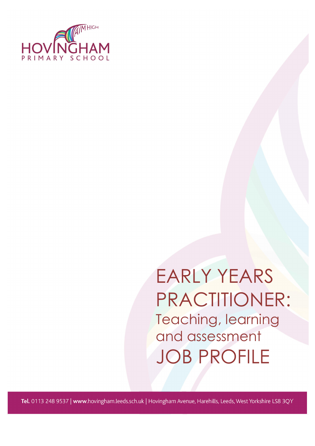

EARLY YEARS PRACTITIONER: Teaching, learning and assessment JOB PROFILE

Tel. 0113 248 9537 | www.hovingham.leeds.sch.uk | Hovingham Avenue, Harehills, Leeds, West Yorkshire LS8 3QY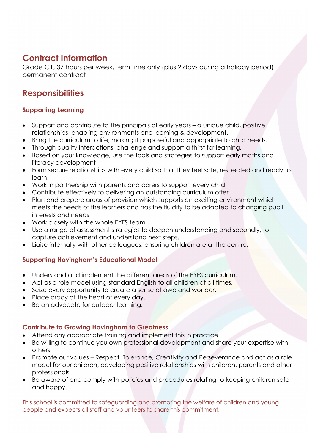## **Contract Information**

Grade C1, 37 hours per week, term time only (plus 2 days during a holiday period) permanent contract

## **Responsibilities**

### **Supporting Learning**

- Support and contribute to the principals of early years a unique child, positive relationships, enabling environments and learning & development.
- Bring the curriculum to life; making it purposeful and appropriate to child needs.
- Through quality interactions, challenge and support a thirst for learning.
- Based on your knowledge, use the tools and strategies to support early maths and literacy development
- Form secure relationships with every child so that they feel safe, respected and ready to learn.
- Work in partnership with parents and carers to support every child.
- Contribute effectively to delivering an outstanding curriculum offer
- Plan and prepare areas of provision which supports an exciting environment which meets the needs of the learners and has the fluidity to be adapted to changing pupil interests and needs
- Work closely with the whole EYFS team
- Use a range of assessment strategies to deepen understanding and secondly, to capture achievement and understand next steps.
- Liaise internally with other colleagues, ensuring children are at the centre.

#### **Supporting Hovingham's Educational Model**

- Understand and implement the different areas of the EYFS curriculum.
- Act as a role model using standard English to all children at all times.
- Seize every opportunity to create a sense of awe and wonder.
- Place oracy at the heart of every day.
- Be an advocate for outdoor learning.

#### **Contribute to Growing Hovingham to Greatness**

- Attend any appropriate training and implement this in practice
- Be willing to continue you own professional development and share your expertise with others.
- Promote our values Respect, Tolerance, Creativity and Perseverance and act as a role model for our children, developing positive relationships with children, parents and other professionals.
- Be aware of and comply with policies and procedures relating to keeping children safe and happy.

This school is committed to safeguarding and promoting the welfare of children and young people and expects all staff and volunteers to share this commitment.